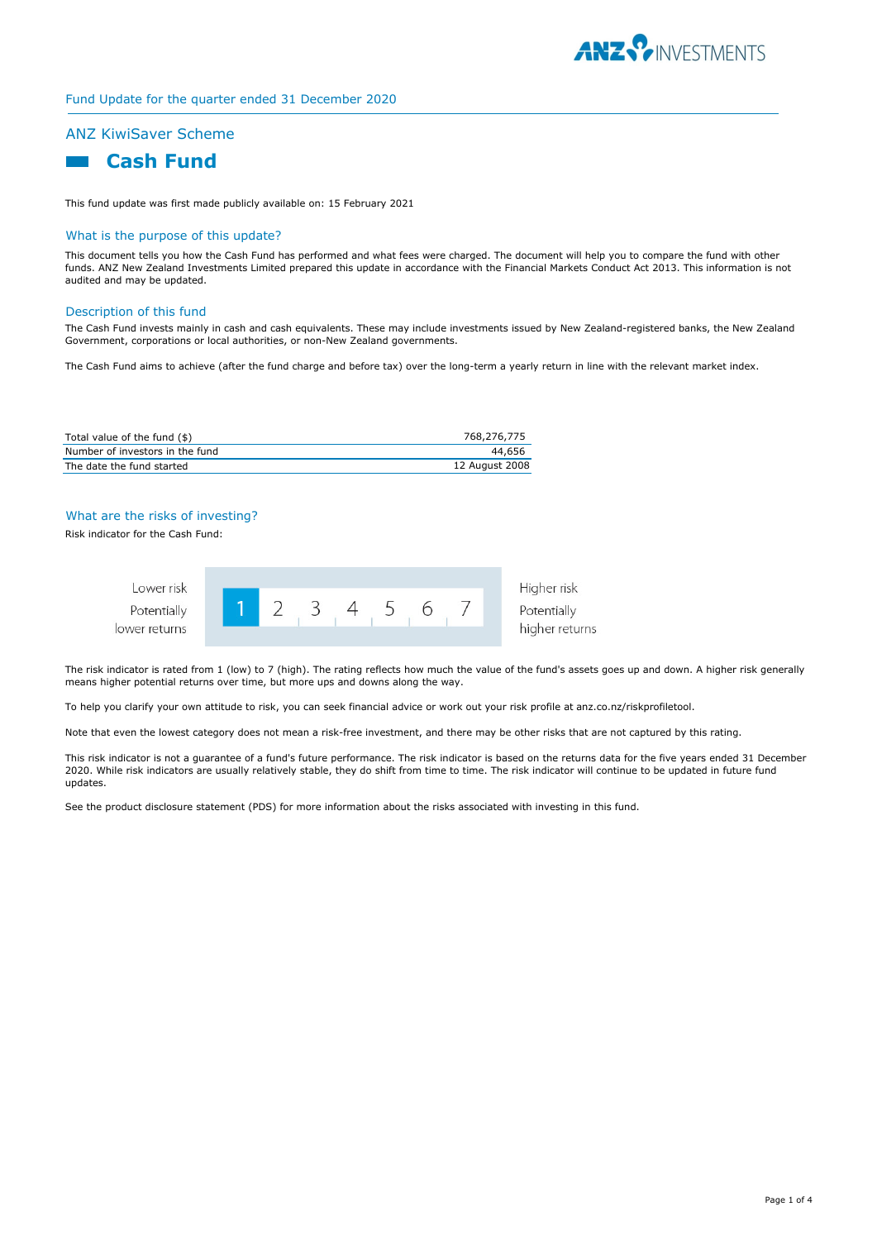

#### Fund Update for the quarter ended 31 December 2020

# ANZ KiwiSaver Scheme

# **Cash Fund**

This fund update was first made publicly available on: 15 February 2021

#### What is the purpose of this update?

This document tells you how the Cash Fund has performed and what fees were charged. The document will help you to compare the fund with other funds. ANZ New Zealand Investments Limited prepared this update in accordance with the Financial Markets Conduct Act 2013. This information is not audited and may be updated.

#### Description of this fund

The Cash Fund invests mainly in cash and cash equivalents. These may include investments issued by New Zealand-registered banks, the New Zealand Government, corporations or local authorities, or non-New Zealand governments.

The Cash Fund aims to achieve (after the fund charge and before tax) over the long-term a yearly return in line with the relevant market index.

| Total value of the fund (\$)    | 768,276,775    |
|---------------------------------|----------------|
| Number of investors in the fund | 44,656         |
| The date the fund started       | 12 August 2008 |

#### What are the risks of investing?

Risk indicator for the Cash Fund:



The risk indicator is rated from 1 (low) to 7 (high). The rating reflects how much the value of the fund's assets goes up and down. A higher risk generally means higher potential returns over time, but more ups and downs along the way.

To help you clarify your own attitude to risk, you can seek financial advice or work out your risk profile at anz.co.nz/riskprofiletool.

Note that even the lowest category does not mean a risk-free investment, and there may be other risks that are not captured by this rating.

This risk indicator is not a guarantee of a fund's future performance. The risk indicator is based on the returns data for the five years ended 31 December 2020. While risk indicators are usually relatively stable, they do shift from time to time. The risk indicator will continue to be updated in future fund updates.

See the product disclosure statement (PDS) for more information about the risks associated with investing in this fund.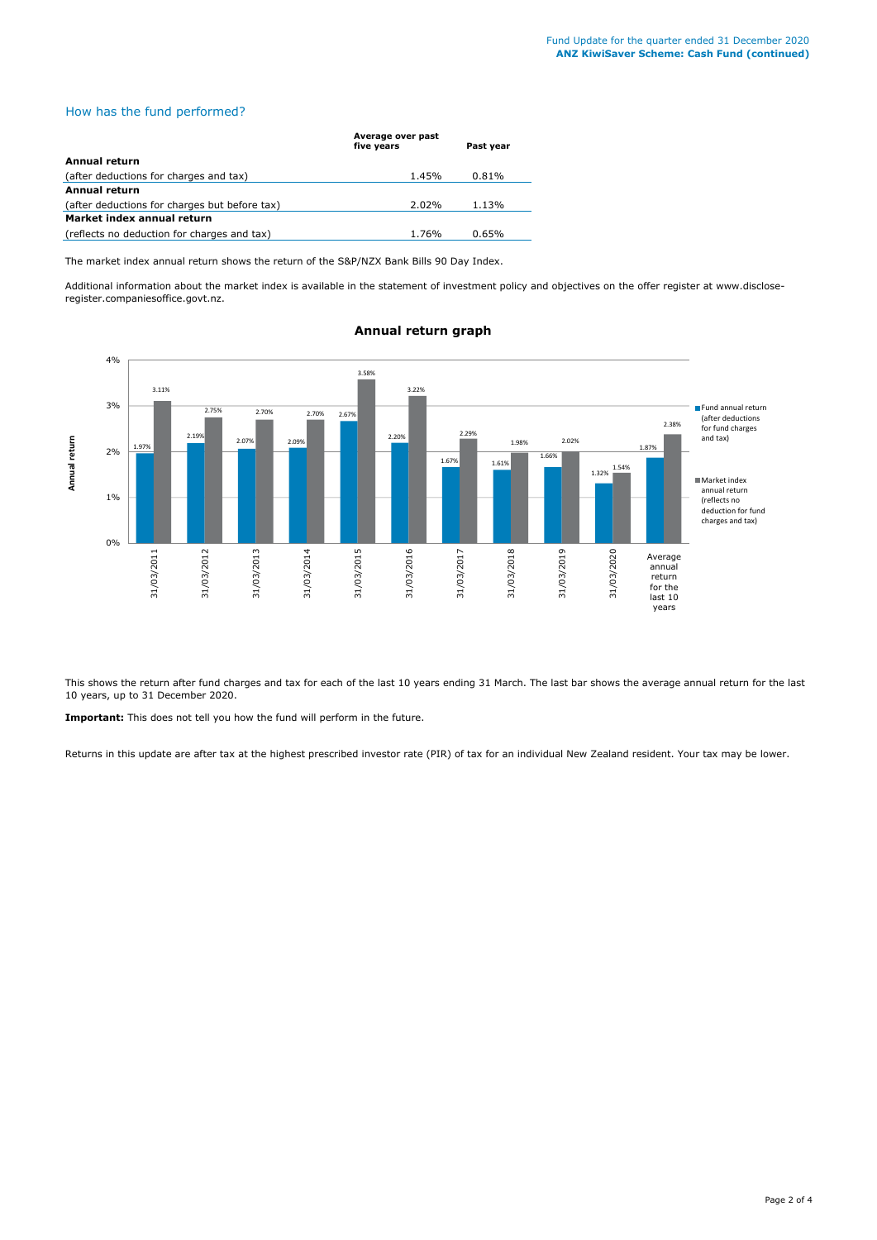# How has the fund performed?

|                                               | Average over past<br>five years | Past year |  |
|-----------------------------------------------|---------------------------------|-----------|--|
| Annual return                                 |                                 |           |  |
| (after deductions for charges and tax)        | 1.45%                           | 0.81%     |  |
| <b>Annual return</b>                          |                                 |           |  |
| (after deductions for charges but before tax) | 2.02%                           | 1.13%     |  |
| Market index annual return                    |                                 |           |  |
| (reflects no deduction for charges and tax)   | 1.76%                           | 0.65%     |  |

The market index annual return shows the return of the S&P/NZX Bank Bills 90 Day Index.

Additional information about the market index is available in the statement of investment policy and objectives on the offer register at www.discloseregister.companiesoffice.govt.nz.



# **Annual return graph**

This shows the return after fund charges and tax for each of the last 10 years ending 31 March. The last bar shows the average annual return for the last 10 years, up to 31 December 2020.

**Important:** This does not tell you how the fund will perform in the future.

Returns in this update are after tax at the highest prescribed investor rate (PIR) of tax for an individual New Zealand resident. Your tax may be lower.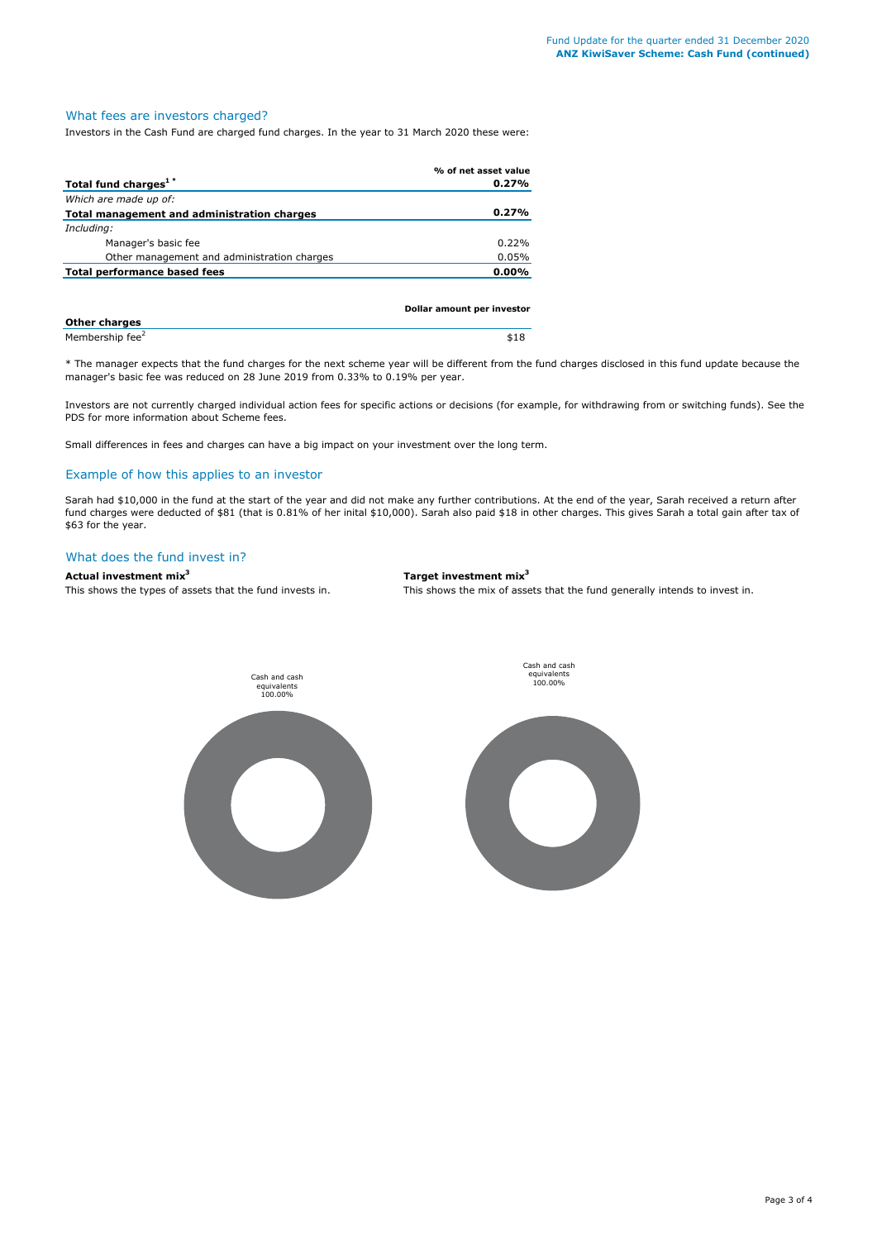#### What fees are investors charged?

Investors in the Cash Fund are charged fund charges. In the year to 31 March 2020 these were:

|                                             | % of net asset value       |
|---------------------------------------------|----------------------------|
| Total fund charges <sup>1*</sup>            | 0.27%                      |
| Which are made up of:                       |                            |
| Total management and administration charges | 0.27%                      |
| Including:                                  |                            |
| Manager's basic fee                         | 0.22%                      |
| Other management and administration charges | 0.05%                      |
| Total performance based fees                | 0.00%                      |
|                                             |                            |
|                                             | Dollar amount per investor |
|                                             |                            |

| <b>Other charges</b>        |  |
|-----------------------------|--|
| Membership fee <sup>2</sup> |  |

\* The manager expects that the fund charges for the next scheme year will be different from the fund charges disclosed in this fund update because the manager's basic fee was reduced on 28 June 2019 from 0.33% to 0.19% per year.

Investors are not currently charged individual action fees for specific actions or decisions (for example, for withdrawing from or switching funds). See the PDS for more information about Scheme fees.

Small differences in fees and charges can have a big impact on your investment over the long term.

# Example of how this applies to an investor

Sarah had \$10,000 in the fund at the start of the year and did not make any further contributions. At the end of the year, Sarah received a return after fund charges were deducted of \$81 (that is 0.81% of her inital \$10,000). Sarah also paid \$18 in other charges. This gives Sarah a total gain after tax of \$63 for the year.

#### What does the fund invest in?

# **Actual investment mix3 Target investment mix3**

This shows the types of assets that the fund invests in. This shows the mix of assets that the fund generally intends to invest in.